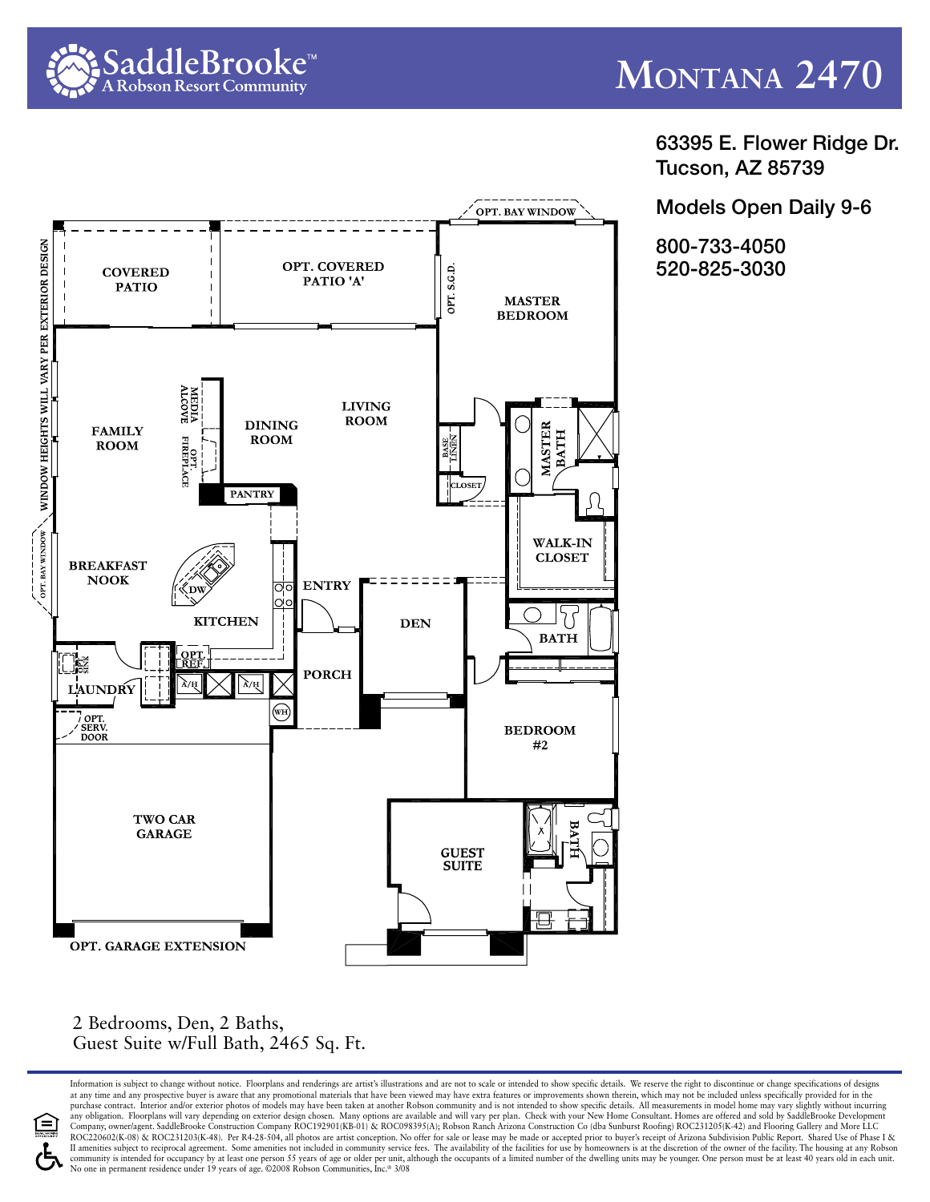

63395 E. Flower Ridge Dr. Tucson, AZ 85739

Models Open Daily 9-6

800-733-4050 520-825-3030



2 Bedrooms, Den, 2 Baths, Guest Suite w/Full Bath, 2465 Sq. Ft.

Information is subject to change without notice. Floorplans and renderings are artist's illustrations and are not to scale or intended to show specific details. We reserve the right to discontinue or change specifications at any time and any prospective buyer is aware that any promotional materials that have been viewed may have extra features or improvements shown therein, which may not be included unless specifically provided for in the<br>p any obligation. Floorplans will vary depending on exterior design chosen. Many options are available and will vary per plan. Check with your New Home Consultant. Homes are offered and sold by SaddleBrooke Development<br>Compa ROC220602(K-08) & ROC231203(K-48). Per R4-28-504, all photos are artist conception. No offer for sale or lease may be made or accepted prior to buyer's receipt of Arizona Subdivision Public Report. Shared Use of Phase I & Il amenities subject to reciprocal agreement. Some amenities not included in community service fees. The availability of the facilities for use by homeowners is at the discretion of the owner of the facility. The housing a community is intended for occupancy by at least one person 55 years of age or older per unit, although the occupants of a limited number of the dwelling units may be younger. One person must be at least 40 years old in eac